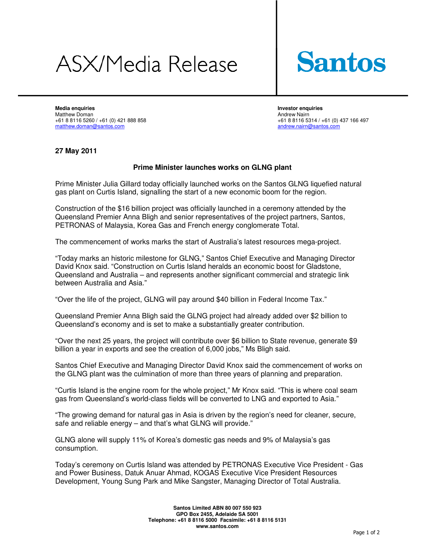## **ASX/Media Release**



**Media enquiries and a set of the control of the control of the control of the control of the control of the control of the control of the control of the control of the control of the control of the control of the control** Matthew Doman Andrew Nairn +61 8 8116 5260 / +61 (0) 421 888 858 +61 88116 5314 / +61 (0) 437 166 497 matthew.doman@santos.com andrew.nairn@santos.com

## **27 May 2011**

## **Prime Minister launches works on GLNG plant**

Prime Minister Julia Gillard today officially launched works on the Santos GLNG liquefied natural gas plant on Curtis Island, signalling the start of a new economic boom for the region.

Construction of the \$16 billion project was officially launched in a ceremony attended by the Queensland Premier Anna Bligh and senior representatives of the project partners, Santos, PETRONAS of Malaysia, Korea Gas and French energy conglomerate Total.

The commencement of works marks the start of Australia's latest resources mega-project.

"Today marks an historic milestone for GLNG," Santos Chief Executive and Managing Director David Knox said. "Construction on Curtis Island heralds an economic boost for Gladstone, Queensland and Australia – and represents another significant commercial and strategic link between Australia and Asia."

"Over the life of the project, GLNG will pay around \$40 billion in Federal Income Tax."

Queensland Premier Anna Bligh said the GLNG project had already added over \$2 billion to Queensland's economy and is set to make a substantially greater contribution.

"Over the next 25 years, the project will contribute over \$6 billion to State revenue, generate \$9 billion a year in exports and see the creation of 6,000 jobs," Ms Bligh said.

Santos Chief Executive and Managing Director David Knox said the commencement of works on the GLNG plant was the culmination of more than three years of planning and preparation.

"Curtis Island is the engine room for the whole project," Mr Knox said. "This is where coal seam gas from Queensland's world-class fields will be converted to LNG and exported to Asia."

"The growing demand for natural gas in Asia is driven by the region's need for cleaner, secure, safe and reliable energy – and that's what GLNG will provide."

GLNG alone will supply 11% of Korea's domestic gas needs and 9% of Malaysia's gas consumption.

Today's ceremony on Curtis Island was attended by PETRONAS Executive Vice President - Gas and Power Business, Datuk Anuar Ahmad, KOGAS Executive Vice President Resources Development, Young Sung Park and Mike Sangster, Managing Director of Total Australia.

> **Santos Limited ABN 80 007 550 923 GPO Box 2455, Adelaide SA 5001 Telephone: +61 8 8116 5000 Facsimile: +61 8 8116 5131 www.santos.com**